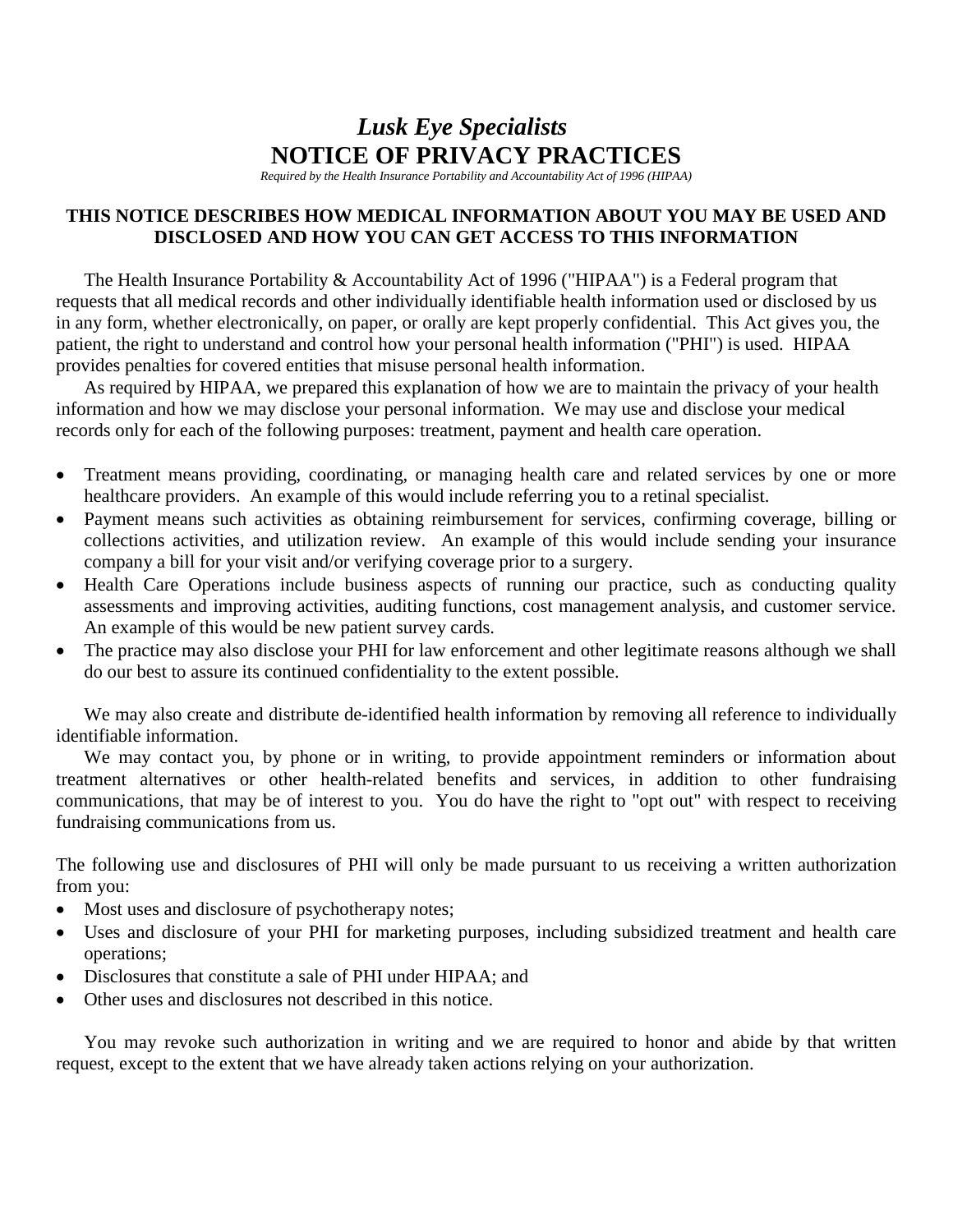## *Lusk Eye Specialists* **NOTICE OF PRIVACY PRACTICES**

*Required by the Health Insurance Portability and Accountability Act of 1996 (HIPAA)*

## **THIS NOTICE DESCRIBES HOW MEDICAL INFORMATION ABOUT YOU MAY BE USED AND DISCLOSED AND HOW YOU CAN GET ACCESS TO THIS INFORMATION**

The Health Insurance Portability & Accountability Act of 1996 ("HIPAA") is a Federal program that requests that all medical records and other individually identifiable health information used or disclosed by us in any form, whether electronically, on paper, or orally are kept properly confidential. This Act gives you, the patient, the right to understand and control how your personal health information ("PHI") is used. HIPAA provides penalties for covered entities that misuse personal health information.

As required by HIPAA, we prepared this explanation of how we are to maintain the privacy of your health information and how we may disclose your personal information. We may use and disclose your medical records only for each of the following purposes: treatment, payment and health care operation.

- Treatment means providing, coordinating, or managing health care and related services by one or more healthcare providers. An example of this would include referring you to a retinal specialist.
- Payment means such activities as obtaining reimbursement for services, confirming coverage, billing or collections activities, and utilization review. An example of this would include sending your insurance company a bill for your visit and/or verifying coverage prior to a surgery.
- Health Care Operations include business aspects of running our practice, such as conducting quality assessments and improving activities, auditing functions, cost management analysis, and customer service. An example of this would be new patient survey cards.
- The practice may also disclose your PHI for law enforcement and other legitimate reasons although we shall do our best to assure its continued confidentiality to the extent possible.

We may also create and distribute de-identified health information by removing all reference to individually identifiable information.

We may contact you, by phone or in writing, to provide appointment reminders or information about treatment alternatives or other health-related benefits and services, in addition to other fundraising communications, that may be of interest to you. You do have the right to "opt out" with respect to receiving fundraising communications from us.

The following use and disclosures of PHI will only be made pursuant to us receiving a written authorization from you:

- Most uses and disclosure of psychotherapy notes;
- Uses and disclosure of your PHI for marketing purposes, including subsidized treatment and health care operations;
- Disclosures that constitute a sale of PHI under HIPAA; and
- Other uses and disclosures not described in this notice.

You may revoke such authorization in writing and we are required to honor and abide by that written request, except to the extent that we have already taken actions relying on your authorization.